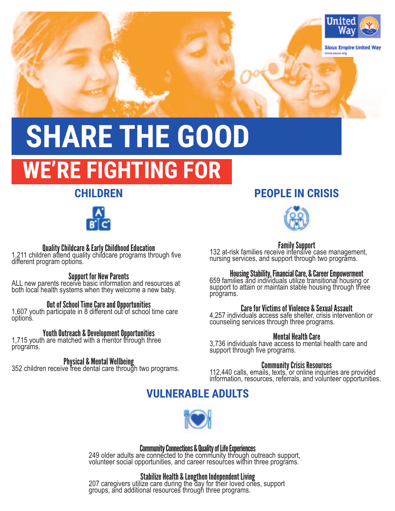

# **SHARE THE GOOD WE'RE FIGHTING FOR**

# **CHILDREN**



**Quality Childcare & Early Childhood Education**<br>1,211 children attend quality childcare programs through five different program options.

**Support for New Parents**<br>ALL new parents receive basic information and resources at both local health systems when they welcome a new baby.

**Out of School Time Care and Opportunities 1,607 youth participate in 8 different out of school time care** options.

Youth Outreach & Development Opportunities 1,715 youth are matched with a mentor through three programs.

**Physical & Mental Wellbeing**<br>352 children receive free dental care through two programs.

# **PEOPLE IN CRISIS**



**Family Support**<br>132 at-risk families receive intensive case management, nursing services, and support through two programs.

Housing Stability, Financial Care, & Career Empowerment 659 families and individuals utilize transitional housing or support to attain or maintain stable housing through three programs.

# Care for Victims of Violence & Sexual Assault

4,257 individuals access safe shelter, crisis intervention or counseling services through three programs.

# Mental Health Care

3,736 individuals have access to mental health care and support through five programs.

**Community Crisis Resources**<br>112,440 calls, emails, texts, or online inquiries are provided information, resources, referrals, and volunteer opportunities.

# **VULNERABLE ADULTS**



**Community Connections & Quality of Life Experiences**<br>249 older adults are connected to the community through outreach support, volunteer social opportunities, and career resources within three programs.

**Stabilize Health & Lengthen Independent Living<br>207 caregivers utilize care during the day for their loved ones, support** groups, and additional resources through three programs.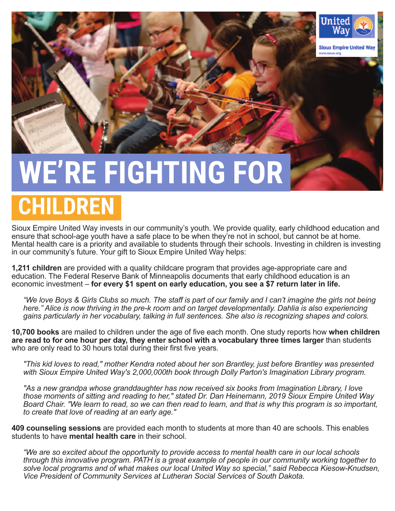

# **WE'RE FIGHTING FOR**

# **CHILDREN**

Sioux Empire United Way invests in our community's youth. We provide quality, early childhood education and ensure that school-age youth have a safe place to be when they're not in school, but cannot be at home. Mental health care is a priority and available to students through their schools. Investing in children is investing in our community's future. Your gift to Sioux Empire United Way helps:

**1,211 children** are provided with a quality childcare program that provides age-appropriate care and education. The Federal Reserve Bank of Minneapolis documents that early childhood education is an economic investment – **for every \$1 spent on early education, you see a \$7 return later in life.**

*"We love Boys & Girls Clubs so much. The staff is part of our family and I can't imagine the girls not being here." Alice is now thriving in the pre-k room and on target developmentally. Dahlia is also experiencing gains particularly in her vocabulary, talking in full sentences. She also is recognizing shapes and colors.*

**10,700 books** are mailed to children under the age of five each month. One study reports how **when children are read to for one hour per day, they enter school with a vocabulary three times larger** than students who are only read to 30 hours total during their first five years.

*"This kid loves to read," mother Kendra noted about her son Brantley, just before Brantley was presented with Sioux Empire United Way's 2,000,000th book through Dolly Parton's Imagination Library program.*

*"As a new grandpa whose granddaughter has now received six books from Imagination Library, I love those moments of sitting and reading to her," stated Dr. Dan Heinemann, 2019 Sioux Empire United Way Board Chair. "We learn to read, so we can then read to learn, and that is why this program is so important, to create that love of reading at an early age."*

**409 counseling sessions** are provided each month to students at more than 40 are schools. This enables students to have **mental health care** in their school.

*"We are so excited about the opportunity to provide access to mental health care in our local schools through this innovative program. PATH is a great example of people in our community working together to solve local programs and of what makes our local United Way so special," said Rebecca Kiesow-Knudsen, Vice President of Community Services at Lutheran Social Services of South Dakota.*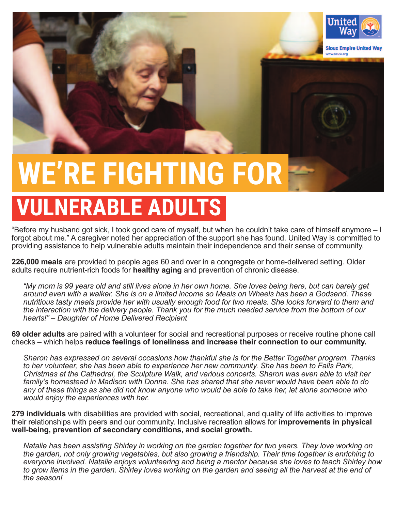

# **WE'RE FIGHTING FOR**

# **VULNERABLE ADULTS**

"Before my husband got sick, I took good care of myself, but when he couldn't take care of himself anymore – I forgot about me." A caregiver noted her appreciation of the support she has found. United Way is committed to providing assistance to help vulnerable adults maintain their independence and their sense of community.

**226,000 meals** are provided to people ages 60 and over in a congregate or home-delivered setting. Older adults require nutrient-rich foods for **healthy aging** and prevention of chronic disease.

*"My mom is 99 years old and still lives alone in her own home. She loves being here, but can barely get around even with a walker. She is on a limited income so Meals on Wheels has been a Godsend. These nutritious tasty meals provide her with usually enough food for two meals. She looks forward to them and the interaction with the delivery people. Thank you for the much needed service from the bottom of our hearts!" – Daughter of Home Delivered Recipient*

**69 older adults** are paired with a volunteer for social and recreational purposes or receive routine phone call checks – which helps **reduce feelings of loneliness and increase their connection to our community.**

*Sharon has expressed on several occasions how thankful she is for the Better Together program. Thanks to her volunteer, she has been able to experience her new community. She has been to Falls Park, Christmas at the Cathedral, the Sculpture Walk, and various concerts. Sharon was even able to visit her family's homestead in Madison with Donna. She has shared that she never would have been able to do any of these things as she did not know anyone who would be able to take her, let alone someone who would enjoy the experiences with her.* 

**279 individuals** with disabilities are provided with social, recreational, and quality of life activities to improve their relationships with peers and our community. Inclusive recreation allows for **improvements in physical well-being, prevention of secondary conditions, and social growth.**

*Natalie has been assisting Shirley in working on the garden together for two years. They love working on the garden, not only growing vegetables, but also growing a friendship. Their time together is enriching to everyone involved. Natalie enjoys volunteering and being a mentor because she loves to teach Shirley how to grow items in the garden. Shirley loves working on the garden and seeing all the harvest at the end of the season!*